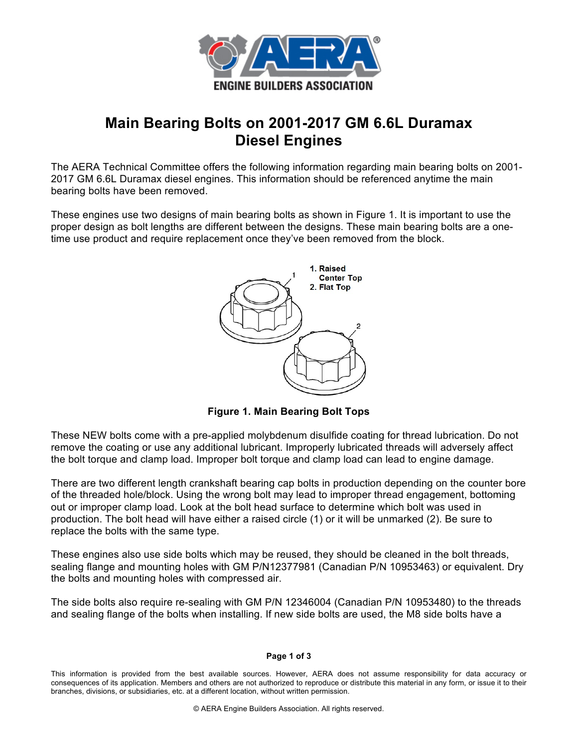

## **Main Bearing Bolts on 2001-2017 GM 6.6L Duramax Diesel Engines**

The AERA Technical Committee offers the following information regarding main bearing bolts on 2001- 2017 GM 6.6L Duramax diesel engines. This information should be referenced anytime the main bearing bolts have been removed.

These engines use two designs of main bearing bolts as shown in Figure 1. It is important to use the proper design as bolt lengths are different between the designs. These main bearing bolts are a onetime use product and require replacement once they've been removed from the block.



**Figure 1. Main Bearing Bolt Tops**

These NEW bolts come with a pre-applied molybdenum disulfide coating for thread lubrication. Do not remove the coating or use any additional lubricant. Improperly lubricated threads will adversely affect the bolt torque and clamp load. Improper bolt torque and clamp load can lead to engine damage.

There are two different length crankshaft bearing cap bolts in production depending on the counter bore of the threaded hole/block. Using the wrong bolt may lead to improper thread engagement, bottoming out or improper clamp load. Look at the bolt head surface to determine which bolt was used in production. The bolt head will have either a raised circle (1) or it will be unmarked (2). Be sure to replace the bolts with the same type.

These engines also use side bolts which may be reused, they should be cleaned in the bolt threads, sealing flange and mounting holes with GM P/N12377981 (Canadian P/N 10953463) or equivalent. Dry the bolts and mounting holes with compressed air.

The side bolts also require re-sealing with GM P/N 12346004 (Canadian P/N 10953480) to the threads and sealing flange of the bolts when installing. If new side bolts are used, the M8 side bolts have a

## **Page 1 of 3**

This information is provided from the best available sources. However, AERA does not assume responsibility for data accuracy or consequences of its application. Members and others are not authorized to reproduce or distribute this material in any form, or issue it to their branches, divisions, or subsidiaries, etc. at a different location, without written permission.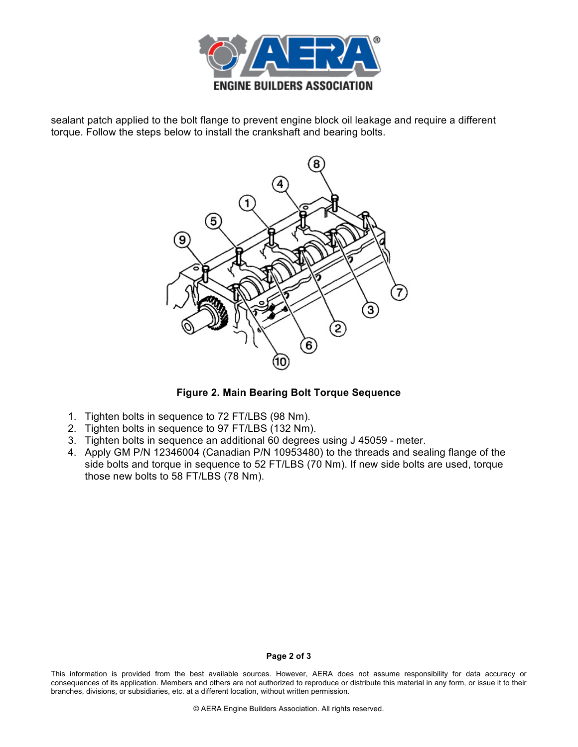

sealant patch applied to the bolt flange to prevent engine block oil leakage and require a different torque. Follow the steps below to install the crankshaft and bearing bolts.



**Figure 2. Main Bearing Bolt Torque Sequence**

- 1. Tighten bolts in sequence to 72 FT/LBS (98 Nm).
- 2. Tighten bolts in sequence to 97 FT/LBS (132 Nm).
- 3. Tighten bolts in sequence an additional 60 degrees using J 45059 meter.
- 4. Apply GM P/N 12346004 (Canadian P/N 10953480) to the threads and sealing flange of the side bolts and torque in sequence to 52 FT/LBS (70 Nm). If new side bolts are used, torque those new bolts to 58 FT/LBS (78 Nm).

## **Page 2 of 3**

This information is provided from the best available sources. However, AERA does not assume responsibility for data accuracy or consequences of its application. Members and others are not authorized to reproduce or distribute this material in any form, or issue it to their branches, divisions, or subsidiaries, etc. at a different location, without written permission.